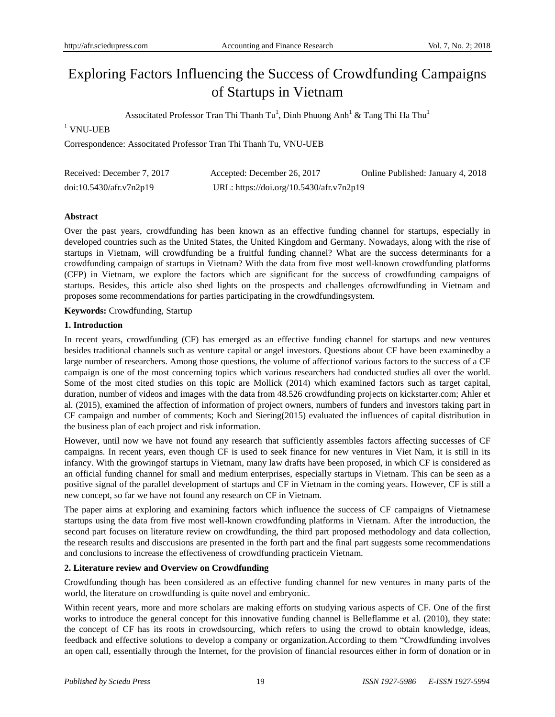# Exploring Factors Influencing the Success of Crowdfunding Campaigns of Startups in Vietnam

Associtated Professor Tran Thi Thanh Tu<sup>1</sup>, Dinh Phuong Anh<sup>1</sup> & Tang Thi Ha Thu<sup>1</sup>

<sup>1</sup> VNU-UEB

Correspondence: Associtated Professor Tran Thi Thanh Tu, VNU-UEB

| Received: December 7, 2017 | Accepted: December 26, 2017              | Online Published: January 4, 2018 |
|----------------------------|------------------------------------------|-----------------------------------|
| doi:10.5430/afr.v7n2p19    | URL: https://doi.org/10.5430/afr.v7n2p19 |                                   |

# **Abstract**

Over the past years, crowdfunding has been known as an effective funding channel for startups, especially in developed countries such as the United States, the United Kingdom and Germany. Nowadays, along with the rise of startups in Vietnam, will crowdfunding be a fruitful funding channel? What are the success determinants for a crowdfunding campaign of startups in Vietnam? With the data from five most well-known crowdfunding platforms (CFP) in Vietnam, we explore the factors which are significant for the success of crowdfunding campaigns of startups. Besides, this article also shed lights on the prospects and challenges ofcrowdfunding in Vietnam and proposes some recommendations for parties participating in the crowdfundingsystem.

**Keywords:** Crowdfunding, Startup

# **1. Introduction**

In recent years, crowdfunding (CF) has emerged as an effective funding channel for startups and new ventures besides traditional channels such as venture capital or angel investors. Questions about CF have been examinedby a large number of researchers. Among those questions, the volume of affectionof various factors to the success of a CF campaign is one of the most concerning topics which various researchers had conducted studies all over the world. Some of the most cited studies on this topic are Mollick (2014) which examined factors such as target capital, duration, number of videos and images with the data from 48.526 crowdfunding projects on kickstarter.com; Ahler et al. (2015), examined the affection of information of project owners, numbers of funders and investors taking part in CF campaign and number of comments; Koch and Siering(2015) evaluated the influences of capital distribution in the business plan of each project and risk information.

However, until now we have not found any research that sufficiently assembles factors affecting successes of CF campaigns. In recent years, even though CF is used to seek finance for new ventures in Viet Nam, it is still in its infancy. With the growingof startups in Vietnam, many law drafts have been proposed, in which CF is considered as an official funding channel for small and medium enterprises, especially startups in Vietnam. This can be seen as a positive signal of the parallel development of startups and CF in Vietnam in the coming years. However, CF is still a new concept, so far we have not found any research on CF in Vietnam.

The paper aims at exploring and examining factors which influence the success of CF campaigns of Vietnamese startups using the data from five most well-known crowdfunding platforms in Vietnam. After the introduction, the second part focuses on literature review on crowdfunding, the third part proposed methodology and data collection, the research results and disccusions are presented in the forth part and the final part suggests some recommendations and conclusions to increase the effectiveness of crowdfunding practicein Vietnam.

# **2. Literature review and Overview on Crowdfunding**

Crowdfunding though has been considered as an effective funding channel for new ventures in many parts of the world, the literature on crowdfunding is quite novel and embryonic.

Within recent years, more and more scholars are making efforts on studying various aspects of CF. One of the first works to introduce the general concept for this innovative funding channel is Belleflamme et al. (2010), they state: the concept of CF has its roots in crowdsourcing, which refers to using the crowd to obtain knowledge, ideas, feedback and effective solutions to develop a company or organization.According to them "Crowdfunding involves an open call, essentially through the Internet, for the provision of financial resources either in form of donation or in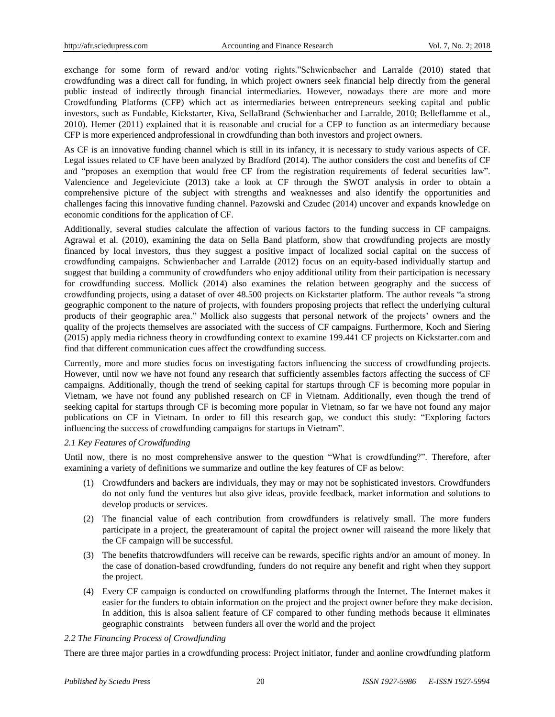exchange for some form of reward and/or voting rights."Schwienbacher and Larralde (2010) stated that crowdfunding was a direct call for funding, in which project owners seek financial help directly from the general public instead of indirectly through financial intermediaries. However, nowadays there are more and more Crowdfunding Platforms (CFP) which act as intermediaries between entrepreneurs seeking capital and public investors, such as Fundable, Kickstarter, Kiva, SellaBrand (Schwienbacher and Larralde, 2010; Belleflamme et al., 2010). Hemer (2011) explained that it is reasonable and crucial for a CFP to function as an intermediary because CFP is more experienced andprofessional in crowdfunding than both investors and project owners.

As CF is an innovative funding channel which is still in its infancy, it is necessary to study various aspects of CF. Legal issues related to CF have been analyzed by Bradford (2014). The author considers the cost and benefits of CF and "proposes an exemption that would free CF from the registration requirements of federal securities law". Valencience and Jegeleviciute (2013) take a look at CF through the SWOT analysis in order to obtain a comprehensive picture of the subject with strengths and weaknesses and also identify the opportunities and challenges facing this innovative funding channel. Pazowski and Czudec (2014) uncover and expands knowledge on economic conditions for the application of CF.

Additionally, several studies calculate the affection of various factors to the funding success in CF campaigns. Agrawal et al. (2010), examining the data on Sella Band platform, show that crowdfunding projects are mostly financed by local investors, thus they suggest a positive impact of localized social capital on the success of crowdfunding campaigns. Schwienbacher and Larralde (2012) focus on an equity-based individually startup and suggest that building a community of crowdfunders who enjoy additional utility from their participation is necessary for crowdfunding success. Mollick (2014) also examines the relation between geography and the success of crowdfunding projects, using a dataset of over 48.500 projects on Kickstarter platform. The author reveals "a strong geographic component to the nature of projects, with founders proposing projects that reflect the underlying cultural products of their geographic area." Mollick also suggests that personal network of the projects' owners and the quality of the projects themselves are associated with the success of CF campaigns. Furthermore, Koch and Siering (2015) apply media richness theory in crowdfunding context to examine 199.441 CF projects on Kickstarter.com and find that different communication cues affect the crowdfunding success.

Currently, more and more studies focus on investigating factors influencing the success of crowdfunding projects. However, until now we have not found any research that sufficiently assembles factors affecting the success of CF campaigns. Additionally, though the trend of seeking capital for startups through CF is becoming more popular in Vietnam, we have not found any published research on CF in Vietnam. Additionally, even though the trend of seeking capital for startups through CF is becoming more popular in Vietnam, so far we have not found any major publications on CF in Vietnam. In order to fill this research gap, we conduct this study: "Exploring factors influencing the success of crowdfunding campaigns for startups in Vietnam".

#### *2.1 Key Features of Crowdfunding*

Until now, there is no most comprehensive answer to the question "What is crowdfunding?". Therefore, after examining a variety of definitions we summarize and outline the key features of CF as below:

- (1) Crowdfunders and backers are individuals, they may or may not be sophisticated investors. Crowdfunders do not only fund the ventures but also give ideas, provide feedback, market information and solutions to develop products or services.
- (2) The financial value of each contribution from crowdfunders is relatively small. The more funders participate in a project, the greateramount of capital the project owner will raiseand the more likely that the CF campaign will be successful.
- (3) The benefits thatcrowdfunders will receive can be rewards, specific rights and/or an amount of money. In the case of donation-based crowdfunding, funders do not require any benefit and right when they support the project.
- (4) Every CF campaign is conducted on crowdfunding platforms through the Internet. The Internet makes it easier for the funders to obtain information on the project and the project owner before they make decision. In addition, this is alsoa salient feature of CF compared to other funding methods because it eliminates geographic constraints between funders all over the world and the project

#### *2.2 The Financing Process of Crowdfunding*

There are three major parties in a crowdfunding process: Project initiator, funder and aonline crowdfunding platform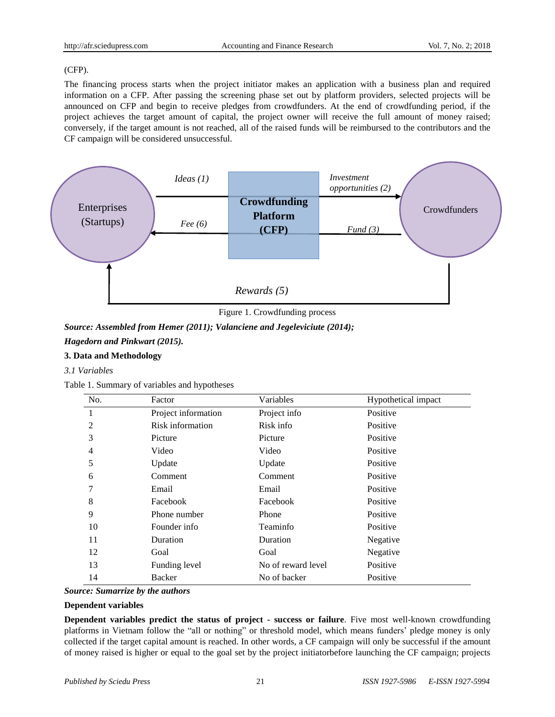# (CFP).

The financing process starts when the project initiator makes an application with a business plan and required information on a CFP. After passing the screening phase set out by platform providers, selected projects will be announced on CFP and begin to receive pledges from crowdfunders. At the end of crowdfunding period, if the project achieves the target amount of capital, the project owner will receive the full amount of money raised; conversely, if the target amount is not reached, all of the raised funds will be reimbursed to the contributors and the CF campaign will be considered unsuccessful.





*Source: Assembled from Hemer (2011); Valanciene and Jegeleviciute (2014);*

*Hagedorn and Pinkwart (2015).*

# **3. Data and Methodology**

# *3.1 Variables*

|  |  | Table 1. Summary of variables and hypotheses |
|--|--|----------------------------------------------|
|--|--|----------------------------------------------|

| No. | Factor              | Variables          | Hypothetical impact |
|-----|---------------------|--------------------|---------------------|
| 1   | Project information | Project info       | Positive            |
| 2   | Risk information    | Risk info          | Positive            |
| 3   | Picture             | Picture            | Positive            |
| 4   | Video               | Video              | Positive            |
| 5   | Update              | Update             | Positive            |
| 6   | Comment             | Comment            | Positive            |
|     | Email               | Email              | Positive            |
| 8   | Facebook            | Facebook           | Positive            |
| 9   | Phone number        | Phone              | Positive            |
| 10  | Founder info        | <b>Teaminfo</b>    | Positive            |
| 11  | Duration            | Duration           | Negative            |
| 12  | Goal                | Goal               | Negative            |
| 13  | Funding level       | No of reward level | Positive            |
| 14  | <b>Backer</b>       | No of backer       | Positive            |

*Source: Sumarrize by the authors*

# **Dependent variables**

**Dependent variables predict the status of project - success or failure**. Five most well-known crowdfunding platforms in Vietnam follow the "all or nothing" or threshold model, which means funders' pledge money is only collected if the target capital amount is reached. In other words, a CF campaign will only be successful if the amount of money raised is higher or equal to the goal set by the project initiatorbefore launching the CF campaign; projects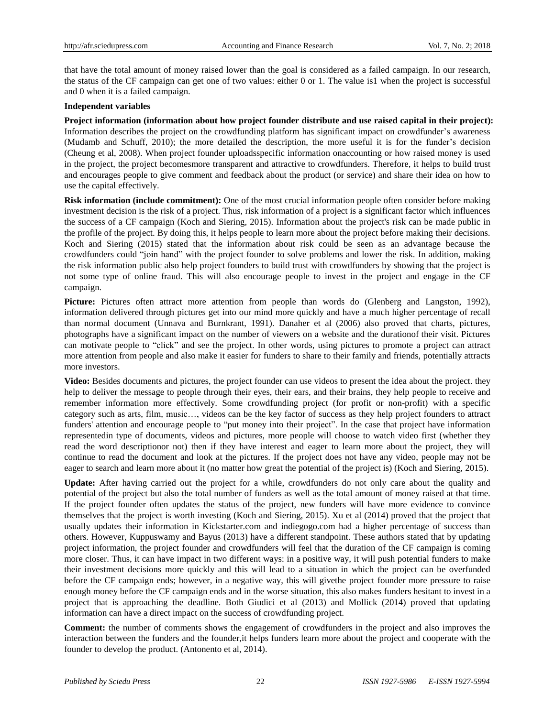that have the total amount of money raised lower than the goal is considered as a failed campaign. In our research, the status of the CF campaign can get one of two values: either 0 or 1. The value is1 when the project is successful and 0 when it is a failed campaign.

#### **Independent variables**

**Project information (information about how project founder distribute and use raised capital in their project):** Information describes the project on the crowdfunding platform has significant impact on crowdfunder's awareness (Mudamb and Schuff, 2010); the more detailed the description, the more useful it is for the funder's decision (Cheung et al, 2008). When project founder uploadsspecific information onaccounting or how raised money is used in the project, the project becomesmore transparent and attractive to crowdfunders. Therefore, it helps to build trust and encourages people to give comment and feedback about the product (or service) and share their idea on how to use the capital effectively.

**Risk information (include commitment):** One of the most crucial information people often consider before making investment decision is the risk of a project. Thus, risk information of a project is a significant factor which influences the success of a CF campaign (Koch and Siering, 2015). Information about the project's risk can be made public in the profile of the project. By doing this, it helps people to learn more about the project before making their decisions. Koch and Siering (2015) stated that the information about risk could be seen as an advantage because the crowdfunders could "join hand" with the project founder to solve problems and lower the risk. In addition, making the risk information public also help project founders to build trust with crowdfunders by showing that the project is not some type of online fraud. This will also encourage people to invest in the project and engage in the CF campaign.

**Picture:** Pictures often attract more attention from people than words do (Glenberg and Langston, 1992), information delivered through pictures get into our mind more quickly and have a much higher percentage of recall than normal document (Unnava and Burnkrant, 1991). Danaher et al (2006) also proved that charts, pictures, photographs have a significant impact on the number of viewers on a website and the durationof their visit. Pictures can motivate people to "click" and see the project. In other words, using pictures to promote a project can attract more attention from people and also make it easier for funders to share to their family and friends, potentially attracts more investors.

**Video:** Besides documents and pictures, the project founder can use videos to present the idea about the project. they help to deliver the message to people through their eyes, their ears, and their brains, they help people to receive and remember information more effectively. Some crowdfunding project (for profit or non-profit) with a specific category such as arts, film, music…, videos can be the key factor of success as they help project founders to attract funders' attention and encourage people to "put money into their project". In the case that project have information representedin type of documents, videos and pictures, more people will choose to watch video first (whether they read the word descriptionor not) then if they have interest and eager to learn more about the project, they will continue to read the document and look at the pictures. If the project does not have any video, people may not be eager to search and learn more about it (no matter how great the potential of the project is) (Koch and Siering, 2015).

**Update:** After having carried out the project for a while, crowdfunders do not only care about the quality and potential of the project but also the total number of funders as well as the total amount of money raised at that time. If the project founder often updates the status of the project, new funders will have more evidence to convince themselves that the project is worth investing (Koch and Siering, 2015). Xu et al (2014) proved that the project that usually updates their information in Kickstarter.com and indiegogo.com had a higher percentage of success than others. However, Kuppuswamy and Bayus (2013) have a different standpoint. These authors stated that by updating project information, the project founder and crowdfunders will feel that the duration of the CF campaign is coming more closer. Thus, it can have impact in two different ways: in a positive way, it will push potential funders to make their investment decisions more quickly and this will lead to a situation in which the project can be overfunded before the CF campaign ends; however, in a negative way, this will givethe project founder more pressure to raise enough money before the CF campaign ends and in the worse situation, this also makes funders hesitant to invest in a project that is approaching the deadline. Both Giudici et al (2013) and Mollick (2014) proved that updating information can have a direct impact on the success of crowdfunding project.

**Comment:** the number of comments shows the engagement of crowdfunders in the project and also improves the interaction between the funders and the founder,it helps funders learn more about the project and cooperate with the founder to develop the product. (Antonento et al, 2014).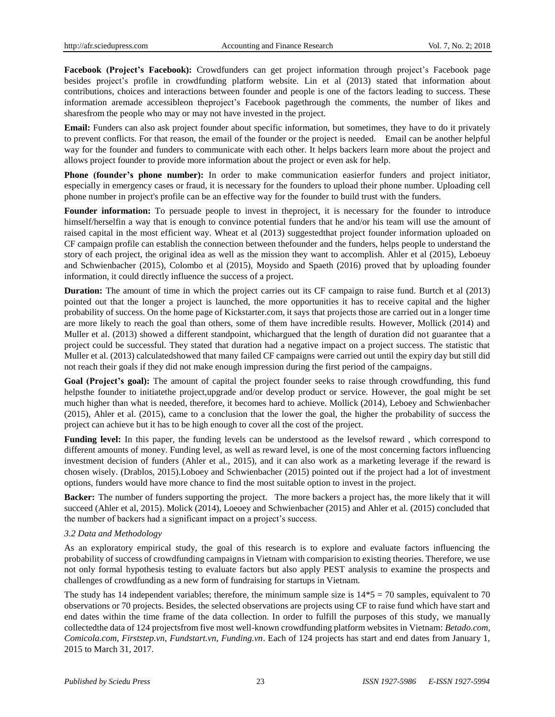**Facebook (Project's Facebook):** Crowdfunders can get project information through project's Facebook page besides project's profile in crowdfunding platform website. Lin et al (2013) stated that information about contributions, choices and interactions between founder and people is one of the factors leading to success. These information aremade accessibleon theproject's Facebook pagethrough the comments, the number of likes and sharesfrom the people who may or may not have invested in the project.

**Email:** Funders can also ask project founder about specific information, but sometimes, they have to do it privately to prevent conflicts. For that reason, the email of the founder or the project is needed. Email can be another helpful way for the founder and funders to communicate with each other. It helps backers learn more about the project and allows project founder to provide more information about the project or even ask for help.

**Phone (founder's phone number):** In order to make communication easierfor funders and project initiator, especially in emergency cases or fraud, it is necessary for the founders to upload their phone number. Uploading cell phone number in project's profile can be an effective way for the founder to build trust with the funders.

**Founder information:** To persuade people to invest in theproject, it is necessary for the founder to introduce himself/herselfin a way that is enough to convince potential funders that he and/or his team will use the amount of raised capital in the most efficient way. Wheat et al (2013) suggestedthat project founder information uploaded on CF campaign profile can establish the connection between thefounder and the funders, helps people to understand the story of each project, the original idea as well as the mission they want to accomplish. Ahler et al (2015), Leboeuy and Schwienbacher (2015), Colombo et al (2015), Moysido and Spaeth (2016) proved that by uploading founder information, it could directly influence the success of a project.

**Duration:** The amount of time in which the project carries out its CF campaign to raise fund. Burtch et al (2013) pointed out that the longer a project is launched, the more opportunities it has to receive capital and the higher probability of success. On the home page of Kickstarter.com, it says that projects those are carried out in a longer time are more likely to reach the goal than others, some of them have incredible results. However, Mollick (2014) and Muller et al. (2013) showed a different standpoint, whichargued that the length of duration did not guarantee that a project could be successful. They stated that duration had a negative impact on a project success. The statistic that Muller et al. (2013) calculatedshowed that many failed CF campaigns were carried out until the expiry day but still did not reach their goals if they did not make enough impression during the first period of the campaigns.

**Goal (Project's goal):** The amount of capital the project founder seeks to raise through crowdfunding, this fund helpsthe founder to initiatethe project,upgrade and/or develop product or service. However, the goal might be set much higher than what is needed, therefore, it becomes hard to achieve. Mollick (2014), Leboey and Schwienbacher (2015), Ahler et al. (2015), came to a conclusion that the lower the goal, the higher the probability of success the project can achieve but it has to be high enough to cover all the cost of the project.

**Funding level:** In this paper, the funding levels can be understood as the levelsof reward , which correspond to different amounts of money. Funding level, as well as reward level, is one of the most concerning factors influencing investment decision of funders (Ahler et al., 2015), and it can also work as a marketing leverage if the reward is chosen wisely. (Drablos, 2015).Loboey and Schwienbacher (2015) pointed out if the project had a lot of investment options, funders would have more chance to find the most suitable option to invest in the project.

**Backer:** The number of funders supporting the project. The more backers a project has, the more likely that it will succeed (Ahler et al, 2015). Molick (2014), Loeoey and Schwienbacher (2015) and Ahler et al. (2015) concluded that the number of backers had a significant impact on a project's success.

#### *3.2 Data and Methodology*

As an exploratory empirical study, the goal of this research is to explore and evaluate factors influencing the probability of success of crowdfunding campaigns in Vietnam with comparision to existing theories. Therefore, we use not only formal hypothesis testing to evaluate factors but also apply PEST analysis to examine the prospects and challenges of crowdfunding as a new form of fundraising for startups in Vietnam.

The study has 14 independent variables; therefore, the minimum sample size is  $14*5 = 70$  samples, equivalent to 70 observations or 70 projects. Besides, the selected observations are projects using CF to raise fund which have start and end dates within the time frame of the data collection. In order to fulfill the purposes of this study, we manually collectedthe data of 124 projectsfrom five most well-known crowdfunding platform websites in Vietnam: *Betado.com, Comicola.com, Firststep.vn, Fundstart.vn, Funding.vn*. Each of 124 projects has start and end dates from January 1, 2015 to March 31, 2017.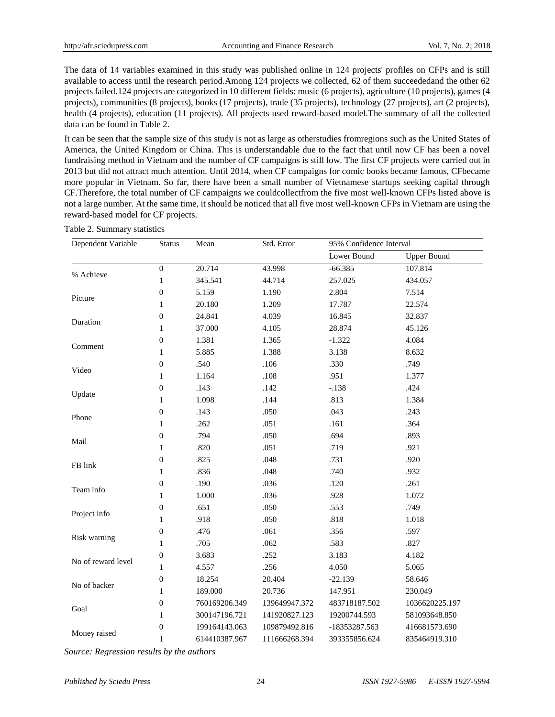The data of 14 variables examined in this study was published online in 124 projects' profiles on CFPs and is still available to access until the research period.Among 124 projects we collected, 62 of them succeededand the other 62 projects failed.124 projects are categorized in 10 different fields: music (6 projects), agriculture (10 projects), games (4 projects), communities (8 projects), books (17 projects), trade (35 projects), technology (27 projects), art (2 projects), health (4 projects), education (11 projects). All projects used reward-based model.The summary of all the collected data can be found in Table 2.

It can be seen that the sample size of this study is not as large as otherstudies fromregions such as the United States of America, the United Kingdom or China. This is understandable due to the fact that until now CF has been a novel fundraising method in Vietnam and the number of CF campaigns is still low. The first CF projects were carried out in 2013 but did not attract much attention. Until 2014, when CF campaigns for comic books became famous, CFbecame more popular in Vietnam. So far, there have been a small number of Vietnamese startups seeking capital through CF.Therefore, the total number of CF campaigns we couldcollectfrom the five most well-known CFPs listed above is not a large number. At the same time, it should be noticed that all five most well-known CFPs in Vietnam are using the reward-based model for CF projects.

| Dependent Variable | <b>Status</b>    | Mean          | Std. Error    | 95% Confidence Interval |                    |  |
|--------------------|------------------|---------------|---------------|-------------------------|--------------------|--|
|                    |                  |               |               | Lower Bound             | <b>Upper Bound</b> |  |
|                    | $\boldsymbol{0}$ | 20.714        | 43.998        | $-66.385$               | 107.814            |  |
| % Achieve          | $\mathbf{1}$     | 345.541       | 44.714        | 257.025                 | 434.057            |  |
|                    | $\boldsymbol{0}$ | 5.159         | 1.190         | 2.804                   | 7.514              |  |
| Picture            | $\mathbf{1}$     | 20.180        | 1.209         | 17.787                  | 22.574             |  |
|                    | $\boldsymbol{0}$ | 24.841        | 4.039         | 16.845                  | 32.837             |  |
| Duration           | $\mathbf{1}$     | 37.000        | 4.105         | 28.874                  | 45.126             |  |
| Comment            | $\boldsymbol{0}$ | 1.381         | 1.365         | $-1.322$                | 4.084              |  |
|                    | $\mathbf{1}$     | 5.885         | 1.388         | 3.138                   | 8.632              |  |
|                    | $\boldsymbol{0}$ | .540          | .106          | .330                    | .749               |  |
| Video              | 1                | 1.164         | .108          | .951                    | 1.377              |  |
|                    | $\boldsymbol{0}$ | .143          | .142          | $-.138$                 | .424               |  |
| Update             | $\mathbf{1}$     | 1.098         | .144          | .813                    | 1.384              |  |
|                    | $\boldsymbol{0}$ | .143          | .050          | .043                    | .243               |  |
| Phone              | $\mathbf{1}$     | .262          | .051          | .161                    | .364               |  |
| Mail               | $\boldsymbol{0}$ | .794          | .050          | .694                    | .893               |  |
|                    | $\mathbf{1}$     | .820          | .051          | .719                    | .921               |  |
| FB link            | $\boldsymbol{0}$ | .825          | .048          | .731                    | .920               |  |
|                    | $\mathbf{1}$     | .836          | .048          | .740                    | .932               |  |
| Team info          | $\mathbf{0}$     | .190          | .036          | .120                    | .261               |  |
|                    | $\mathbf{1}$     | 1.000         | .036          | .928                    | 1.072              |  |
| Project info       | $\boldsymbol{0}$ | .651          | .050          | .553                    | .749               |  |
|                    | $\mathbf{1}$     | .918          | .050          | .818                    | 1.018              |  |
|                    | $\boldsymbol{0}$ | .476          | .061          | .356                    | .597               |  |
| Risk warning       | 1                | .705          | .062          | .583                    | .827               |  |
| No of reward level | $\boldsymbol{0}$ | 3.683         | .252          | 3.183                   | 4.182              |  |
|                    | $\mathbf{1}$     | 4.557         | .256          | 4.050                   | 5.065              |  |
| No of backer       | $\boldsymbol{0}$ | 18.254        | 20.404        | $-22.139$               | 58.646             |  |
|                    | 1                | 189.000       | 20.736        | 147.951                 | 230.049            |  |
|                    | $\boldsymbol{0}$ | 760169206.349 | 139649947.372 | 483718187.502           | 1036620225.197     |  |
| Goal               | $\mathbf{1}$     | 300147196.721 | 141920827.123 | 19200744.593            | 581093648.850      |  |
|                    | $\boldsymbol{0}$ | 199164143.063 | 109879492.816 | -18353287.563           | 416681573.690      |  |
| Money raised       | 1                | 614410387.967 | 111666268.394 | 393355856.624           | 835464919.310      |  |

Table 2. Summary statistics

*Source: Regression results by the authors*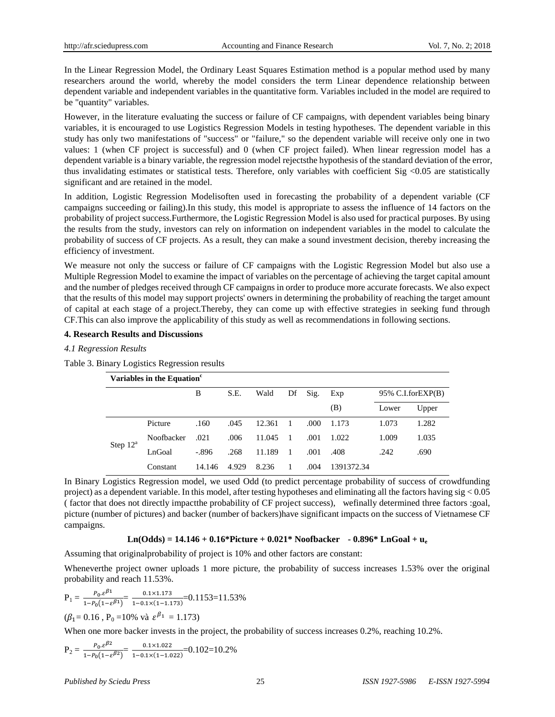In the Linear Regression Model, the Ordinary Least Squares Estimation method is a popular method used by many researchers around the world, whereby the model considers the term Linear dependence relationship between dependent variable and independent variables in the quantitative form. Variables included in the model are required to be "quantity" variables.

However, in the literature evaluating the success or failure of CF campaigns, with dependent variables being binary variables, it is encouraged to use Logistics Regression Models in testing hypotheses. The dependent variable in this study has only two manifestations of "success" or "failure," so the dependent variable will receive only one in two values: 1 (when CF project is successful) and 0 (when CF project failed). When linear regression model has a dependent variable is a binary variable, the regression model rejectsthe hypothesis of the standard deviation of the error, thus invalidating estimates or statistical tests. Therefore, only variables with coefficient  $Sig$  <0.05 are statistically significant and are retained in the model.

In addition, Logistic Regression Modelisoften used in forecasting the probability of a dependent variable (CF campaigns succeeding or failing).In this study, this model is appropriate to assess the influence of 14 factors on the probability of project success.Furthermore, the Logistic Regression Model is also used for practical purposes. By using the results from the study, investors can rely on information on independent variables in the model to calculate the probability of success of CF projects. As a result, they can make a sound investment decision, thereby increasing the efficiency of investment.

We measure not only the success or failure of CF campaigns with the Logistic Regression Model but also use a Multiple Regression Model to examine the impact of variables on the percentage of achieving the target capital amount and the number of pledges received through CF campaigns in order to produce more accurate forecasts. We also expect that the results of this model may support projects' owners in determining the probability of reaching the target amount of capital at each stage of a project.Thereby, they can come up with effective strategies in seeking fund through CF.This can also improve the applicability of this study as well as recommendations in following sections.

#### **4. Research Results and Discussions**

#### *4.1 Regression Results*

Table 3. Binary Logistics Regression results

| Variables in the Equation <sup>c</sup> |            |         |       |        |    |      |            |       |                   |
|----------------------------------------|------------|---------|-------|--------|----|------|------------|-------|-------------------|
|                                        |            | B       | S.E.  | Wald   | Df | Sig. | Exp        |       | 95% C.I.forEXP(B) |
|                                        |            |         |       |        |    |      | (B)        | Lower | Upper             |
|                                        | Picture    | .160    | .045  | 12.361 |    | .000 | 1.173      | 1.073 | 1.282             |
|                                        | Noofbacker | .021    | .006  | 11.045 |    | .001 | 1.022      | 1.009 | 1.035             |
| Step $12^a$                            | LnGoal     | $-.896$ | .268  | 11.189 | 1  | .001 | .408       | .242  | .690              |
|                                        | Constant   | 14.146  | 4.929 | 8.236  |    | .004 | 1391372.34 |       |                   |

In Binary Logistics Regression model, we used Odd (to predict percentage probability of success of crowdfunding project) as a dependent variable. In this model, after testing hypotheses and eliminating all the factors having  $sig < 0.05$ ( factor that does not directly impactthe probability of CF project success), wefinally determined three factors :goal, picture (number of pictures) and backer (number of backers)have significant impacts on the success of Vietnamese CF campaigns.

#### **Ln(Odds) = 14.146 + 0.16\*Picture + 0.021\* Noofbacker - 0.896\* LnGoal + u<sup>e</sup>**

Assuming that originalprobability of project is 10% and other factors are constant:

Wheneverthe project owner uploads 1 more picture, the probability of success increases 1.53% over the original probability and reach 11.53%.

$$
P_1 = \frac{P_0 \varepsilon^{\beta 1}}{1 - P_0 (1 - \varepsilon^{\beta 1})} = \frac{0.1 \times 1.173}{1 - 0.1 \times (1 - 1.173)} = 0.1153 = 11.53\%
$$
  
( $\beta_1 = 0.16$ ,  $P_0 = 10\%$  v à  $\varepsilon^{\beta_1} = 1.173$ )

When one more backer invests in the project, the probability of success increases 0.2%, reaching 10.2%.

$$
P_2=\frac{P_0.\epsilon^{\beta2}}{1-P_0(1-\epsilon^{\beta2})}=\frac{0.1\times1.022}{1-0.1\times(1-1.022)}\!\!=\!0.102\!=\!10.2\%
$$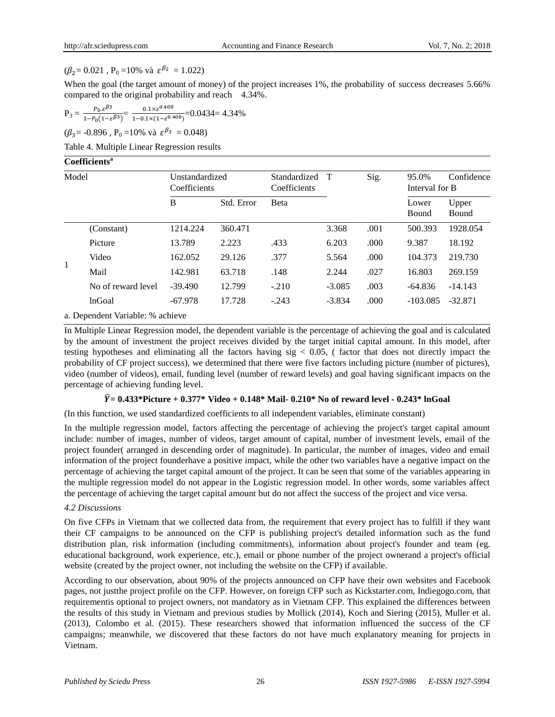# $(\beta_2 = 0.021, P_0 = 10\% \text{ v} \text{à } \varepsilon^{\beta_2} = 1.022)$

When the goal (the target amount of money) of the project increases 1%, the probability of success decreases 5.66% compared to the original probability and reach 4.34%.

$$
P_3 = \frac{P_0 \varepsilon^{\beta 3}}{1 - P_0 (1 - \varepsilon^{\beta 3})} = \frac{0.1 \times \varepsilon^{0.408}}{1 - 0.1 \times (1 - \varepsilon^{0.408})} = 0.0434 = 4.34\%
$$

 $(\beta_3 = -0.896, P_0 = 10\% \text{ v} \text{à } \varepsilon^{\beta_3} = 0.048)$ 

Table 4. Multiple Linear Regression results

# **Coefficients<sup>a</sup>**

| Model |                                  | Unstandardized<br>Coefficients |            | Standardized<br>Coefficients | $\mathbf T$ | Sig. | Confidence<br>95.0%<br>Interval for B |                |
|-------|----------------------------------|--------------------------------|------------|------------------------------|-------------|------|---------------------------------------|----------------|
|       |                                  | B                              | Std. Error | Beta                         |             |      | Lower<br>Bound                        | Upper<br>Bound |
|       | (Constant)                       | 1214.224                       | 360.471    |                              | 3.368       | .001 | 500.393                               | 1928.054       |
|       | Picture                          | 13.789                         | 2.223      | .433                         | 6.203       | .000 | 9.387                                 | 18.192         |
|       | Video                            | 162.052                        | 29.126     | .377                         | 5.564       | .000 | 104.373                               | 219.730        |
| 1     | Mail                             | 142.981                        | 63.718     | .148                         | 2.244       | .027 | 16.803                                | 269.159        |
|       | No of reward level               | $-39.490$                      | 12.799     | $-.210$                      | $-3.085$    | .003 | $-64.836$                             | $-14.143$      |
|       | <b>lnGoal</b>                    | $-67.978$                      | 17.728     | $-.243$                      | $-3.834$    | .000 | $-103.085$                            | $-32.871$      |
|       | a. Dependent Variable: % achieve |                                |            |                              |             |      |                                       |                |

In Multiple Linear Regression model, the dependent variable is the percentage of achieving the goal and is calculated by the amount of investment the project receives divided by the target initial capital amount. In this model, after testing hypotheses and eliminating all the factors having sig  $\lt 0.05$ , (factor that does not directly impact the probability of CF project success), we determined that there were five factors including picture (number of pictures), video (number of videos), email, funding level (number of reward levels) and goal having significant impacts on the percentage of achieving funding level.

# ̂**= 0.433\*Picture + 0.377\* Video + 0.148\* Mail- 0.210\* No of reward level - 0.243\* lnGoal**

(In this function, we used standardized coefficients to all independent variables, eliminate constant)

In the multiple regression model, factors affecting the percentage of achieving the project's target capital amount include: number of images, number of videos, target amount of capital, number of investment levels, email of the project founder( arranged in descending order of magnitude). In particular, the number of images, video and email information of the project founderhave a positive impact, while the other two variables have a negative impact on the percentage of achieving the target capital amount of the project. It can be seen that some of the variables appearing in the multiple regression model do not appear in the Logistic regression model. In other words, some variables affect the percentage of achieving the target capital amount but do not affect the success of the project and vice versa.

# *4.2 Discussions*

On five CFPs in Vietnam that we collected data from, the requirement that every project has to fulfill if they want their CF campaigns to be announced on the CFP is publishing project's detailed information such as the fund distribution plan, risk information (including commitments), information about project's founder and team (eg. educational background, work experience, etc.), email or phone number of the project ownerand a project's official website (created by the project owner, not including the website on the CFP) if available.

According to our observation, about 90% of the projects announced on CFP have their own websites and Facebook pages, not justthe project profile on the CFP. However, on foreign CFP such as Kickstarter.com, Indiegogo.com, that requirementis optional to project owners, not mandatory as in Vietnam CFP. This explained the differences between the results of this study in Vietnam and previous studies by Mollick (2014), Koch and Siering (2015), Muller et al. (2013), Colombo et al. (2015). These researchers showed that information influenced the success of the CF campaigns; meanwhile, we discovered that these factors do not have much explanatory meaning for projects in Vietnam.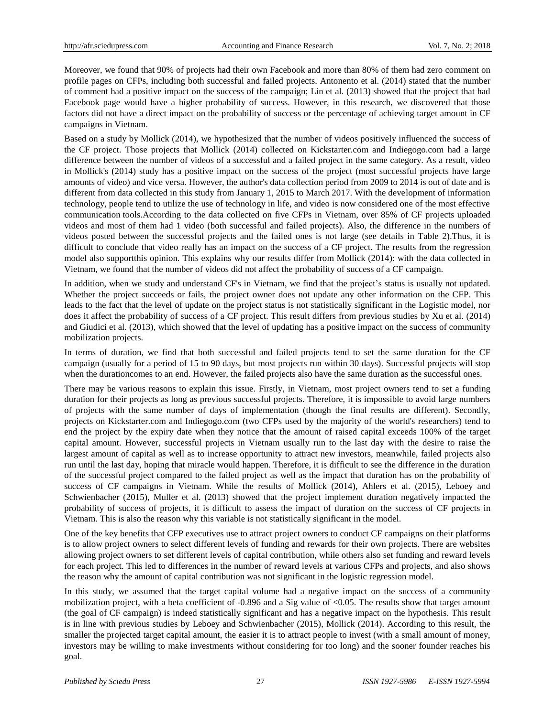Moreover, we found that 90% of projects had their own Facebook and more than 80% of them had zero comment on profile pages on CFPs, including both successful and failed projects. Antonento et al. (2014) stated that the number of comment had a positive impact on the success of the campaign; Lin et al. (2013) showed that the project that had Facebook page would have a higher probability of success. However, in this research, we discovered that those factors did not have a direct impact on the probability of success or the percentage of achieving target amount in CF campaigns in Vietnam.

Based on a study by Mollick (2014), we hypothesized that the number of videos positively influenced the success of the CF project. Those projects that Mollick (2014) collected on Kickstarter.com and Indiegogo.com had a large difference between the number of videos of a successful and a failed project in the same category. As a result, video in Mollick's (2014) study has a positive impact on the success of the project (most successful projects have large amounts of video) and vice versa. However, the author's data collection period from 2009 to 2014 is out of date and is different from data collected in this study from January 1, 2015 to March 2017. With the development of information technology, people tend to utilize the use of technology in life, and video is now considered one of the most effective communication tools.According to the data collected on five CFPs in Vietnam, over 85% of CF projects uploaded videos and most of them had 1 video (both successful and failed projects). Also, the difference in the numbers of videos posted between the successful projects and the failed ones is not large (see details in Table 2).Thus, it is difficult to conclude that video really has an impact on the success of a CF project. The results from the regression model also supportthis opinion. This explains why our results differ from Mollick (2014): with the data collected in Vietnam, we found that the number of videos did not affect the probability of success of a CF campaign.

In addition, when we study and understand CF's in Vietnam, we find that the project's status is usually not updated. Whether the project succeeds or fails, the project owner does not update any other information on the CFP. This leads to the fact that the level of update on the project status is not statistically significant in the Logistic model, nor does it affect the probability of success of a CF project. This result differs from previous studies by Xu et al. (2014) and Giudici et al. (2013), which showed that the level of updating has a positive impact on the success of community mobilization projects.

In terms of duration, we find that both successful and failed projects tend to set the same duration for the CF campaign (usually for a period of 15 to 90 days, but most projects run within 30 days). Successful projects will stop when the durationcomes to an end. However, the failed projects also have the same duration as the successful ones.

There may be various reasons to explain this issue. Firstly, in Vietnam, most project owners tend to set a funding duration for their projects as long as previous successful projects. Therefore, it is impossible to avoid large numbers of projects with the same number of days of implementation (though the final results are different). Secondly, projects on Kickstarter.com and Indiegogo.com (two CFPs used by the majority of the world's researchers) tend to end the project by the expiry date when they notice that the amount of raised capital exceeds 100% of the target capital amount. However, successful projects in Vietnam usually run to the last day with the desire to raise the largest amount of capital as well as to increase opportunity to attract new investors, meanwhile, failed projects also run until the last day, hoping that miracle would happen. Therefore, it is difficult to see the difference in the duration of the successful project compared to the failed project as well as the impact that duration has on the probability of success of CF campaigns in Vietnam. While the results of Mollick (2014), Ahlers et al. (2015), Leboey and Schwienbacher (2015), Muller et al. (2013) showed that the project implement duration negatively impacted the probability of success of projects, it is difficult to assess the impact of duration on the success of CF projects in Vietnam. This is also the reason why this variable is not statistically significant in the model.

One of the key benefits that CFP executives use to attract project owners to conduct CF campaigns on their platforms is to allow project owners to select different levels of funding and rewards for their own projects. There are websites allowing project owners to set different levels of capital contribution, while others also set funding and reward levels for each project. This led to differences in the number of reward levels at various CFPs and projects, and also shows the reason why the amount of capital contribution was not significant in the logistic regression model.

In this study, we assumed that the target capital volume had a negative impact on the success of a community mobilization project, with a beta coefficient of -0.896 and a Sig value of <0.05. The results show that target amount (the goal of CF campaign) is indeed statistically significant and has a negative impact on the hypothesis. This result is in line with previous studies by Leboey and Schwienbacher (2015), Mollick (2014). According to this result, the smaller the projected target capital amount, the easier it is to attract people to invest (with a small amount of money, investors may be willing to make investments without considering for too long) and the sooner founder reaches his goal.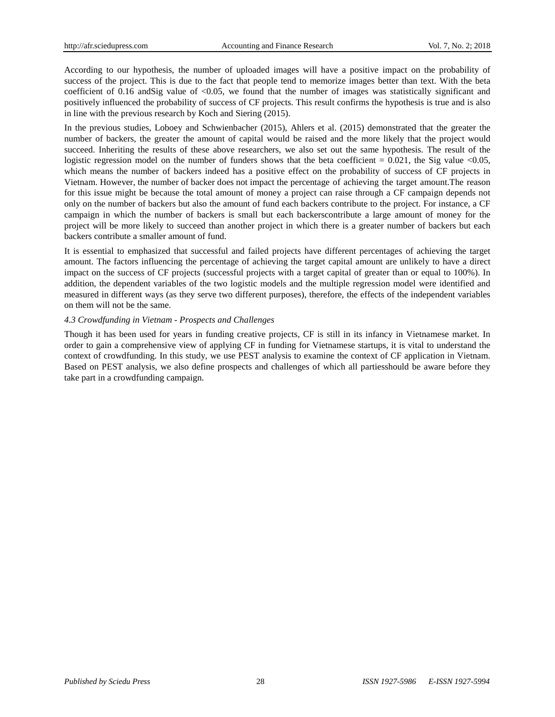According to our hypothesis, the number of uploaded images will have a positive impact on the probability of success of the project. This is due to the fact that people tend to memorize images better than text. With the beta coefficient of 0.16 and Sig value of  $\langle 0.05$ , we found that the number of images was statistically significant and positively influenced the probability of success of CF projects. This result confirms the hypothesis is true and is also in line with the previous research by Koch and Siering (2015).

In the previous studies, Loboey and Schwienbacher (2015), Ahlers et al. (2015) demonstrated that the greater the number of backers, the greater the amount of capital would be raised and the more likely that the project would succeed. Inheriting the results of these above researchers, we also set out the same hypothesis. The result of the logistic regression model on the number of funders shows that the beta coefficient =  $0.021$ , the Sig value <0.05, which means the number of backers indeed has a positive effect on the probability of success of CF projects in Vietnam. However, the number of backer does not impact the percentage of achieving the target amount.The reason for this issue might be because the total amount of money a project can raise through a CF campaign depends not only on the number of backers but also the amount of fund each backers contribute to the project. For instance, a CF campaign in which the number of backers is small but each backerscontribute a large amount of money for the project will be more likely to succeed than another project in which there is a greater number of backers but each backers contribute a smaller amount of fund.

It is essential to emphasized that successful and failed projects have different percentages of achieving the target amount. The factors influencing the percentage of achieving the target capital amount are unlikely to have a direct impact on the success of CF projects (successful projects with a target capital of greater than or equal to 100%). In addition, the dependent variables of the two logistic models and the multiple regression model were identified and measured in different ways (as they serve two different purposes), therefore, the effects of the independent variables on them will not be the same.

#### *4.3 Crowdfunding in Vietnam - Prospects and Challenges*

Though it has been used for years in funding creative projects, CF is still in its infancy in Vietnamese market. In order to gain a comprehensive view of applying CF in funding for Vietnamese startups, it is vital to understand the context of crowdfunding. In this study, we use PEST analysis to examine the context of CF application in Vietnam. Based on PEST analysis, we also define prospects and challenges of which all partiesshould be aware before they take part in a crowdfunding campaign.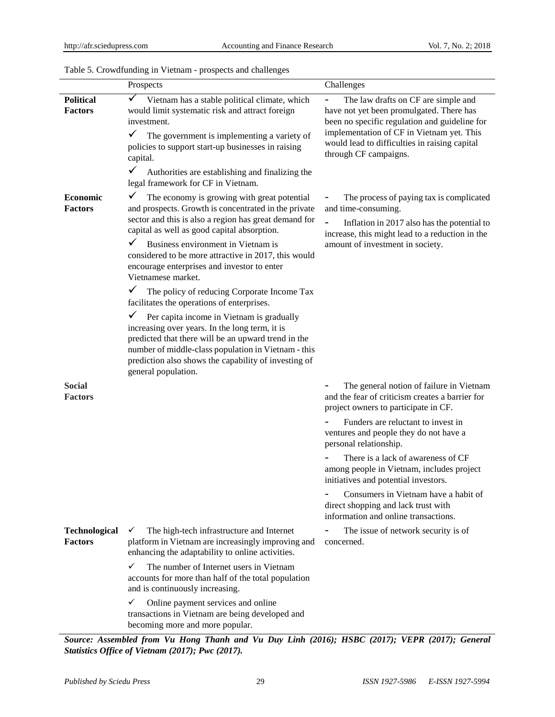|                                        | Prospects                                                                                                                                                                                                                                                                                     | Challenges                                                                                                                                                                                                                                              |  |  |  |
|----------------------------------------|-----------------------------------------------------------------------------------------------------------------------------------------------------------------------------------------------------------------------------------------------------------------------------------------------|---------------------------------------------------------------------------------------------------------------------------------------------------------------------------------------------------------------------------------------------------------|--|--|--|
| <b>Political</b><br><b>Factors</b>     | Vietnam has a stable political climate, which<br>✔<br>would limit systematic risk and attract foreign<br>investment.<br>✓<br>The government is implementing a variety of<br>policies to support start-up businesses in raising<br>capital.                                                    | The law drafts on CF are simple and<br>have not yet been promulgated. There has<br>been no specific regulation and guideline for<br>implementation of CF in Vietnam yet. This<br>would lead to difficulties in raising capital<br>through CF campaigns. |  |  |  |
|                                        | $\checkmark$<br>Authorities are establishing and finalizing the<br>legal framework for CF in Vietnam.                                                                                                                                                                                         |                                                                                                                                                                                                                                                         |  |  |  |
| Economic<br><b>Factors</b>             | The economy is growing with great potential<br>V<br>and prospects. Growth is concentrated in the private<br>sector and this is also a region has great demand for<br>capital as well as good capital absorption.<br>Business environment in Vietnam is                                        | The process of paying tax is complicated<br>and time-consuming.<br>Inflation in 2017 also has the potential to<br>increase, this might lead to a reduction in the<br>amount of investment in society.                                                   |  |  |  |
|                                        | considered to be more attractive in 2017, this would<br>encourage enterprises and investor to enter<br>Vietnamese market.                                                                                                                                                                     |                                                                                                                                                                                                                                                         |  |  |  |
|                                        | ✓<br>The policy of reducing Corporate Income Tax<br>facilitates the operations of enterprises.                                                                                                                                                                                                |                                                                                                                                                                                                                                                         |  |  |  |
|                                        | Per capita income in Vietnam is gradually<br>✔<br>increasing over years. In the long term, it is<br>predicted that there will be an upward trend in the<br>number of middle-class population in Vietnam - this<br>prediction also shows the capability of investing of<br>general population. |                                                                                                                                                                                                                                                         |  |  |  |
| <b>Social</b><br><b>Factors</b>        |                                                                                                                                                                                                                                                                                               | The general notion of failure in Vietnam<br>and the fear of criticism creates a barrier for<br>project owners to participate in CF.                                                                                                                     |  |  |  |
|                                        |                                                                                                                                                                                                                                                                                               | Funders are reluctant to invest in<br>ventures and people they do not have a<br>personal relationship.                                                                                                                                                  |  |  |  |
|                                        |                                                                                                                                                                                                                                                                                               | There is a lack of awareness of CF<br>among people in Vietnam, includes project<br>initiatives and potential investors.                                                                                                                                 |  |  |  |
|                                        |                                                                                                                                                                                                                                                                                               | Consumers in Vietnam have a habit of<br>direct shopping and lack trust with<br>information and online transactions.                                                                                                                                     |  |  |  |
| <b>Technological</b><br><b>Factors</b> | The high-tech infrastructure and Internet<br>✓<br>platform in Vietnam are increasingly improving and<br>enhancing the adaptability to online activities.                                                                                                                                      | The issue of network security is of<br>concerned.                                                                                                                                                                                                       |  |  |  |
|                                        | The number of Internet users in Vietnam<br>✓<br>accounts for more than half of the total population<br>and is continuously increasing.                                                                                                                                                        |                                                                                                                                                                                                                                                         |  |  |  |
|                                        | ✓<br>Online payment services and online<br>transactions in Vietnam are being developed and<br>becoming more and more popular.                                                                                                                                                                 |                                                                                                                                                                                                                                                         |  |  |  |

#### Table 5. Crowdfunding in Vietnam - prospects and challenges

*Source: Assembled from Vu Hong Thanh and Vu Duy Linh (2016); HSBC (2017); VEPR (2017); General Statistics Office of Vietnam (2017); Pwc (2017).*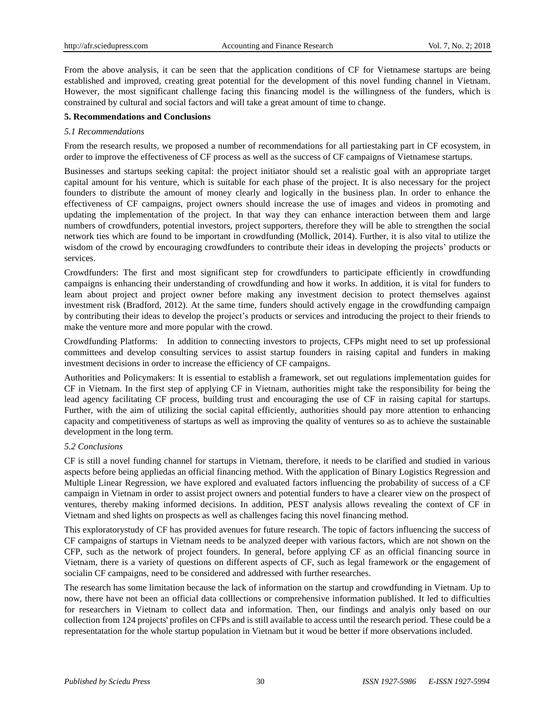From the above analysis, it can be seen that the application conditions of CF for Vietnamese startups are being established and improved, creating great potential for the development of this novel funding channel in Vietnam. However, the most significant challenge facing this financing model is the willingness of the funders, which is constrained by cultural and social factors and will take a great amount of time to change.

#### **5. Recommendations and Conclusions**

#### *5.1 Recommendations*

From the research results, we proposed a number of recommendations for all partiestaking part in CF ecosystem, in order to improve the effectiveness of CF process as well as the success of CF campaigns of Vietnamese startups.

Businesses and startups seeking capital: the project initiator should set a realistic goal with an appropriate target capital amount for his venture, which is suitable for each phase of the project. It is also necessary for the project founders to distribute the amount of money clearly and logically in the business plan. In order to enhance the effectiveness of CF campaigns, project owners should increase the use of images and videos in promoting and updating the implementation of the project. In that way they can enhance interaction between them and large numbers of crowdfunders, potential investors, project supporters, therefore they will be able to strengthen the social network ties which are found to be important in crowdfunding (Mollick, 2014). Further, it is also vital to utilize the wisdom of the crowd by encouraging crowdfunders to contribute their ideas in developing the projects' products or services.

Crowdfunders: The first and most significant step for crowdfunders to participate efficiently in crowdfunding campaigns is enhancing their understanding of crowdfunding and how it works. In addition, it is vital for funders to learn about project and project owner before making any investment decision to protect themselves against investment risk (Bradford, 2012). At the same time, funders should actively engage in the crowdfunding campaign by contributing their ideas to develop the project's products or services and introducing the project to their friends to make the venture more and more popular with the crowd.

Crowdfunding Platforms: In addition to connecting investors to projects, CFPs might need to set up professional committees and develop consulting services to assist startup founders in raising capital and funders in making investment decisions in order to increase the efficiency of CF campaigns.

Authorities and Policymakers: It is essential to establish a framework, set out regulations implementation guides for CF in Vietnam. In the first step of applying CF in Vietnam, authorities might take the responsibility for being the lead agency facilitating CF process, building trust and encouraging the use of CF in raising capital for startups. Further, with the aim of utilizing the social capital efficiently, authorities should pay more attention to enhancing capacity and competitiveness of startups as well as improving the quality of ventures so as to achieve the sustainable development in the long term.

# *5.2 Conclusions*

CF is still a novel funding channel for startups in Vietnam, therefore, it needs to be clarified and studied in various aspects before being appliedas an official financing method. With the application of Binary Logistics Regression and Multiple Linear Regression, we have explored and evaluated factors influencing the probability of success of a CF campaign in Vietnam in order to assist project owners and potential funders to have a clearer view on the prospect of ventures, thereby making informed decisions. In addition, PEST analysis allows revealing the context of CF in Vietnam and shed lights on prospects as well as challenges facing this novel financing method.

This exploratorystudy of CF has provided avenues for future research. The topic of factors influencing the success of CF campaigns of startups in Vietnam needs to be analyzed deeper with various factors, which are not shown on the CFP, such as the network of project founders. In general, before applying CF as an official financing source in Vietnam, there is a variety of questions on different aspects of CF, such as legal framework or the engagement of socialin CF campaigns, need to be considered and addressed with further researches.

The research has some limitation because the lack of information on the startup and crowdfunding in Vietnam. Up to now, there have not been an official data colllections or comprehensive information published. It led to difficulties for researchers in Vietnam to collect data and information. Then, our findings and analyis only based on our collection from 124 projects' profiles on CFPs and is still available to access until the research period. These could be a representatation for the whole startup population in Vietnam but it woud be better if more observations included.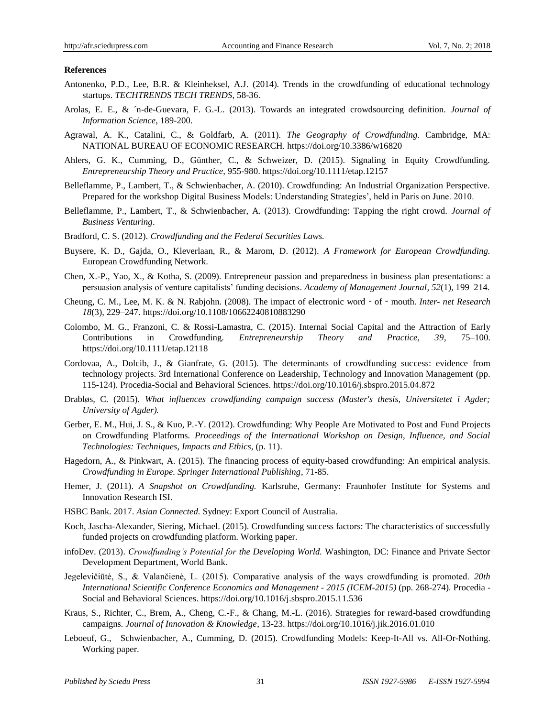#### **References**

- Antonenko, P.D., Lee, B.R. & Kleinheksel, A.J. (2014). Trends in the crowdfunding of educational technology startups. *TECHTRENDS TECH TRENDS*, 58-36.
- Arolas, E. E., & ´n-de-Guevara, F. G.-L. (2013). Towards an integrated crowdsourcing definition. *Journal of Information Science*, 189-200.
- Agrawal, A. K., Catalini, C., & Goldfarb, A. (2011). *The Geography of Crowdfunding.* Cambridge, MA: NATIONAL BUREAU OF ECONOMIC RESEARCH. <https://doi.org/10.3386/w16820>
- Ahlers, G. K., Cumming, D., Günther, C., & Schweizer, D. (2015). Signaling in Equity Crowdfunding. *Entrepreneurship Theory and Practice*, 955-980. <https://doi.org/10.1111/etap.12157>
- Belleflamme, P., Lambert, T., & Schwienbacher, A. (2010). Crowdfunding: An Industrial Organization Perspective. Prepared for the workshop Digital Business Models: Understanding Strategies', held in Paris on June. 2010.
- Belleflamme, P., Lambert, T., & Schwienbacher, A. (2013). Crowdfunding: Tapping the right crowd. *Journal of Business Venturing*.
- Bradford, C. S. (2012). *Crowdfunding and the Federal Securities Laws.*
- Buysere, K. D., Gajda, O., Kleverlaan, R., & Marom, D. (2012). *A Framework for European Crowdfunding.* European Crowdfunding Network.
- Chen, X.-P., Yao, X., & Kotha, S. (2009). Entrepreneur passion and preparedness in business plan presentations: a persuasion analysis of venture capitalists' funding decisions. *Academy of Management Journal, 52*(1), 199–214.
- Cheung, C. M., Lee, M. K. & N. Rabjohn. (2008). The impact of electronic word‐of‐mouth. *Inter- net Research 18*(3), 229–247. <https://doi.org/10.1108/10662240810883290>
- Colombo, M. G., Franzoni, C. & Rossi-Lamastra, C. (2015). Internal Social Capital and the Attraction of Early Contributions in Crowdfunding. *Entrepreneurship Theory and Practice, 39*, 75–100. <https://doi.org/10.1111/etap.12118>
- Cordovaa, A., Dolcib, J., & Gianfrate, G. (2015). The determinants of crowdfunding success: evidence from technology projects. 3rd International Conference on Leadership, Technology and Innovation Management (pp. 115-124). Procedia-Social and Behavioral Sciences. <https://doi.org/10.1016/j.sbspro.2015.04.872>
- Drabløs, C. (2015). *What influences crowdfunding campaign success (Master's thesis, Universitetet i Agder; University of Agder).*
- Gerber, E. M., Hui, J. S., & Kuo, P.-Y. (2012). Crowdfunding: Why People Are Motivated to Post and Fund Projects on Crowdfunding Platforms. *Proceedings of the International Workshop on Design, Influence, and Social Technologies: Techniques, Impacts and Ethics*, (p. 11).
- Hagedorn, A., & Pinkwart, A. (2015). The financing process of equity-based crowdfunding: An empirical analysis. *Crowdfunding in Europe. Springer International Publishing*, 71-85.
- Hemer, J. (2011). *A Snapshot on Crowdfunding.* Karlsruhe, Germany: Fraunhofer Institute for Systems and Innovation Research ISI.
- HSBC Bank. 2017. *Asian Connected.* Sydney: Export Council of Australia.
- Koch, Jascha-Alexander, Siering, Michael. (2015). Crowdfunding success factors: The characteristics of successfully funded projects on crowdfunding platform. Working paper.
- infoDev. (2013). *Crowdfunding's Potential for the Developing World.* Washington, DC: Finance and Private Sector Development Department, World Bank.
- Jegelevičiūtė, S., & Valančienė, L. (2015). Comparative analysis of the ways crowdfunding is promoted. *20th International Scientific Conference Economics and Management - 2015 (ICEM-2015)* (pp. 268-274). Procedia - Social and Behavioral Sciences. <https://doi.org/10.1016/j.sbspro.2015.11.536>
- Kraus, S., Richter, C., Brem, A., Cheng, C.-F., & Chang, M.-L. (2016). Strategies for reward-based crowdfunding campaigns. *Journal of Innovation & Knowledge*, 13-23. <https://doi.org/10.1016/j.jik.2016.01.010>
- Leboeuf, G., Schwienbacher, A., Cumming, D. (2015). Crowdfunding Models: Keep-It-All vs. All-Or-Nothing. Working paper.